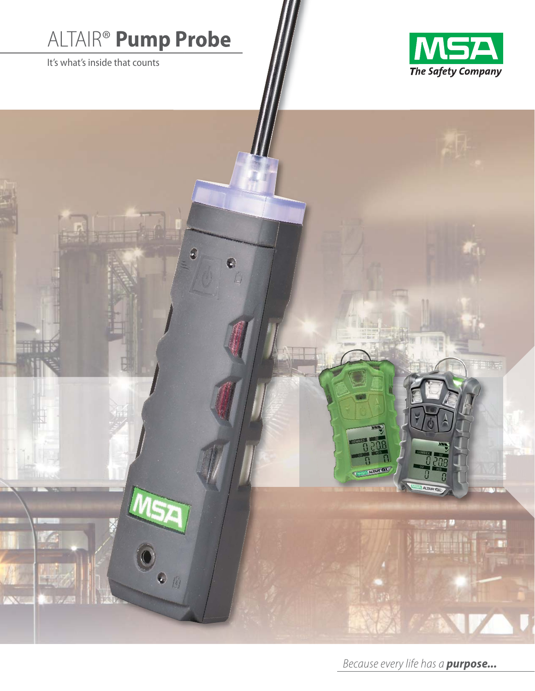# ALTAIR® **Pump Probe**

It's what's inside that counts





*Because every life has a purpose...*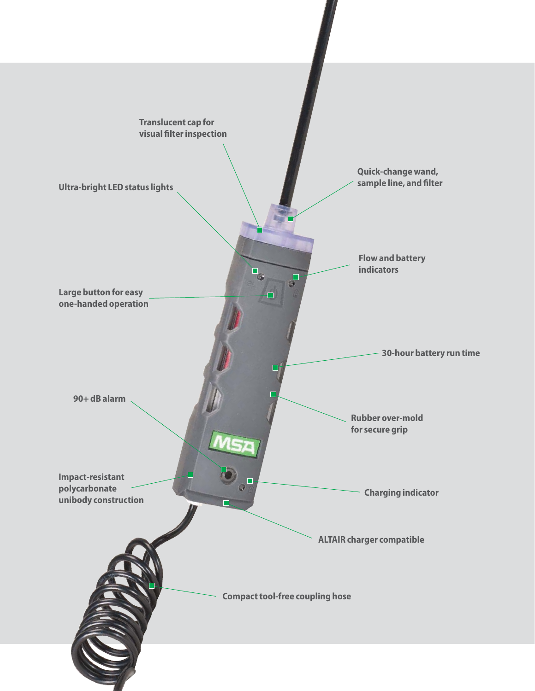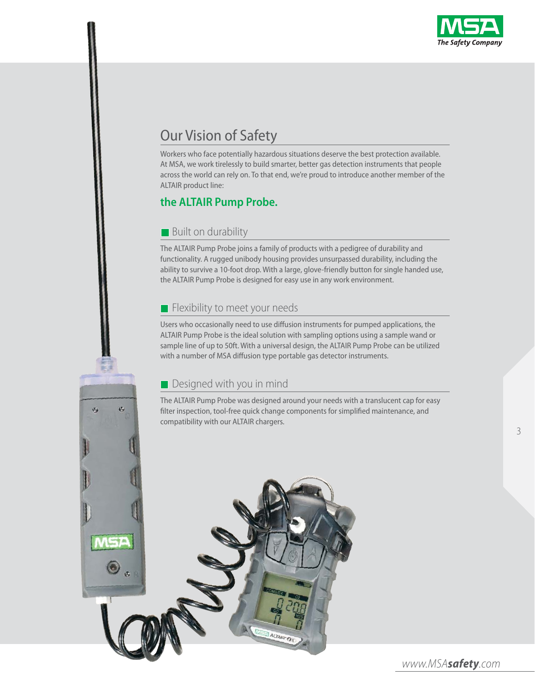![](_page_2_Picture_0.jpeg)

## Our Vision of Safety

Workers who face potentially hazardous situations deserve the best protection available. At MSA, we work tirelessly to build smarter, better gas detection instruments that people across the world can rely on. To that end, we're proud to introduce another member of the ALTAIR product line:

## **the ALTAIR Pump Probe.**

#### **Built on durability**

The ALTAIR Pump Probe joins a family of products with a pedigree of durability and functionality. A rugged unibody housing provides unsurpassed durability, including the ability to survive a 10-foot drop. With a large, glove-friendly button for single handed use, the ALTAIR Pump Probe is designed for easy use in any work environment.

#### $\blacksquare$  Flexibility to meet your needs

Users who occasionally need to use diffusion instruments for pumped applications, the ALTAIR Pump Probe is the ideal solution with sampling options using a sample wand or sample line of up to 50ft. With a universal design, the ALTAIR Pump Probe can be utilized with a number of MSA diffusion type portable gas detector instruments.

#### **Designed with you in mind**

ø

The ALTAIR Pump Probe was designed around your needs with a translucent cap for easy filter inspection, tool-free quick change components for simplified maintenance, and compatibility with our ALTAIR chargers.

![](_page_2_Picture_10.jpeg)